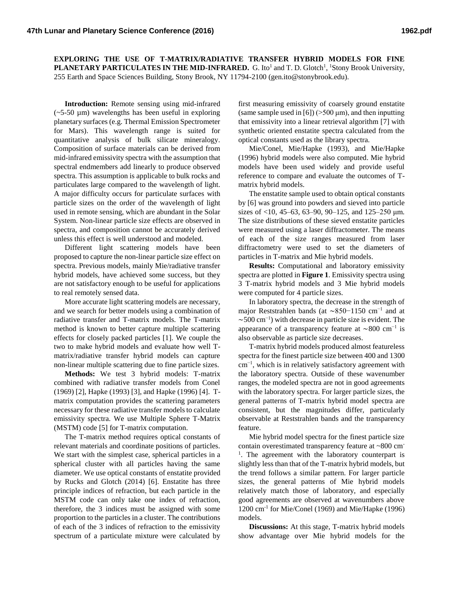**EXPLORING THE USE OF T-MATRIX/RADIATIVE TRANSFER HYBRID MODELS FOR FINE**  PLANETARY PARTICULATES IN THE MID-INFRARED. G. Ito<sup>1</sup> and T. D. Glotch<sup>1</sup>, <sup>1</sup>Stony Brook University, 255 Earth and Space Sciences Building, Stony Brook, NY 11794-2100 (gen.ito@stonybrook.edu).

**Introduction:** Remote sensing using mid-infrared  $(-5-50 \mu m)$  wavelengths has been useful in exploring planetary surfaces (e.g. Thermal Emission Spectrometer for Mars). This wavelength range is suited for quantitative analysis of bulk silicate mineralogy. Composition of surface materials can be derived from mid-infrared emissivity spectra with the assumption that spectral endmembers add linearly to produce observed spectra. This assumption is applicable to bulk rocks and particulates large compared to the wavelength of light. A major difficulty occurs for particulate surfaces with particle sizes on the order of the wavelength of light used in remote sensing, which are abundant in the Solar System. Non-linear particle size effects are observed in spectra, and composition cannot be accurately derived unless this effect is well understood and modeled.

Different light scattering models have been proposed to capture the non-linear particle size effect on spectra. Previous models, mainly Mie/radiative transfer hybrid models, have achieved some success, but they are not satisfactory enough to be useful for applications to real remotely sensed data.

More accurate light scattering models are necessary, and we search for better models using a combination of radiative transfer and T-matrix models. The T-matrix method is known to better capture multiple scattering effects for closely packed particles [1]. We couple the two to make hybrid models and evaluate how well Tmatrix/radiative transfer hybrid models can capture non-linear multiple scattering due to fine particle sizes.

**Methods:** We test 3 hybrid models: T-matrix combined with radiative transfer models from Conel (1969) [2], Hapke (1993) [3], and Hapke (1996) [4]. Tmatrix computation provides the scattering parameters necessary for these radiative transfer models to calculate emissivity spectra. We use Multiple Sphere T-Matrix (MSTM) code [5] for T-matrix computation.

The T-matrix method requires optical constants of relevant materials and coordinate positions of particles. We start with the simplest case, spherical particles in a spherical cluster with all particles having the same diameter. We use optical constants of enstatite provided by Rucks and Glotch (2014) [6]. Enstatite has three principle indices of refraction, but each particle in the MSTM code can only take one index of refraction, therefore, the 3 indices must be assigned with some proportion to the particles in a cluster. The contributions of each of the 3 indices of refraction to the emissivity spectrum of a particulate mixture were calculated by

first measuring emissivity of coarsely ground enstatite (same sample used in [6]) ( $>500 \mu m$ ), and then inputting that emissivity into a linear retrieval algorithm [7] with synthetic oriented enstatite spectra calculated from the optical constants used as the library spectra.

Mie/Conel, Mie/Hapke (1993), and Mie/Hapke (1996) hybrid models were also computed. Mie hybrid models have been used widely and provide useful reference to compare and evaluate the outcomes of Tmatrix hybrid models.

The enstatite sample used to obtain optical constants by [6] was ground into powders and sieved into particle sizes of  $\langle 10, 45-63, 63-90, 90-125,$  and  $125-250$  µm. The size distributions of these sieved enstatite particles were measured using a laser diffractometer. The means of each of the size ranges measured from laser diffractometry were used to set the diameters of particles in T-matrix and Mie hybrid models.

**Results:** Computational and laboratory emissivity spectra are plotted in **Figure 1**. Emissivity spectra using 3 T-matrix hybrid models and 3 Mie hybrid models were computed for 4 particle sizes.

In laboratory spectra, the decrease in the strength of major Reststrahlen bands (at ~850−1150 cm<sup>-1</sup> and at  $\sim$ 500 cm<sup>-1</sup>) with decrease in particle size is evident. The appearance of a transparency feature at  $\sim$ 800 cm<sup>-1</sup> is also observable as particle size decreases.

T-matrix hybrid models produced almost featureless spectra for the finest particle size between 400 and 1300 cm−1, which is in relatively satisfactory agreement with the laboratory spectra. Outside of these wavenumber ranges, the modeled spectra are not in good agreements with the laboratory spectra. For larger particle sizes, the general patterns of T-matrix hybrid model spectra are consistent, but the magnitudes differ, particularly observable at Reststrahlen bands and the transparency feature.

Mie hybrid model spectra for the finest particle size contain overestimated transparency feature at ~800 cm-<sup>1</sup>. The agreement with the laboratory counterpart is slightly less than that of the T-matrix hybrid models, but the trend follows a similar pattern. For larger particle sizes, the general patterns of Mie hybrid models relatively match those of laboratory, and especially good agreements are observed at wavenumbers above 1200 cm-1 for Mie/Conel (1969) and Mie/Hapke (1996) models.

**Discussions:** At this stage, T-matrix hybrid models show advantage over Mie hybrid models for the